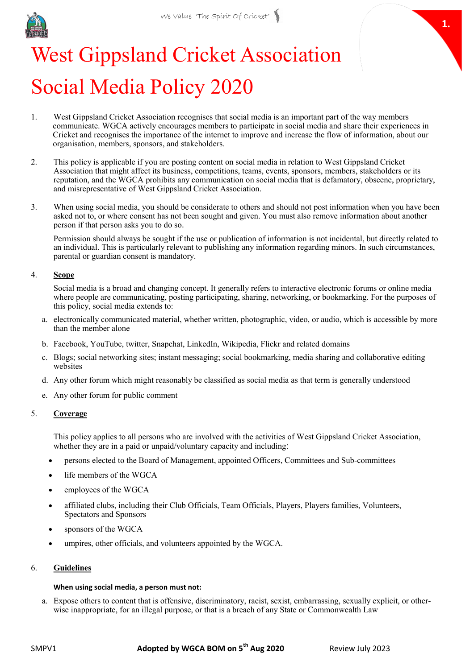

# **1.**

# West Gippsland Cricket Association Social Media Policy 2020

- 1. West Gippsland Cricket Association recognises that social media is an important part of the way members communicate. WGCA actively encourages members to participate in social media and share their experiences in Cricket and recognises the importance of the internet to improve and increase the flow of information, about our organisation, members, sponsors, and stakeholders.
- 2. This policy is applicable if you are posting content on social media in relation to West Gippsland Cricket Association that might affect its business, competitions, teams, events, sponsors, members, stakeholders or its reputation, and the WGCA prohibits any communication on social media that is defamatory, obscene, proprietary, and misrepresentative of West Gippsland Cricket Association.
- 3. When using social media, you should be considerate to others and should not post information when you have been asked not to, or where consent has not been sought and given. You must also remove information about another person if that person asks you to do so.

Permission should always be sought if the use or publication of information is not incidental, but directly related to an individual. This is particularly relevant to publishing any information regarding minors. In such circumstances, parental or guardian consent is mandatory.

## 4. **Scope**

Social media is a broad and changing concept. It generally refers to interactive electronic forums or online media where people are communicating, posting participating, sharing, networking, or bookmarking. For the purposes of this policy, social media extends to:

- a. electronically communicated material, whether written, photographic, video, or audio, which is accessible by more than the member alone
- b. Facebook, YouTube, twitter, Snapchat, LinkedIn, Wikipedia, Flickr and related domains
- c. Blogs; social networking sites; instant messaging; social bookmarking, media sharing and collaborative editing websites
- d. Any other forum which might reasonably be classified as social media as that term is generally understood
- e. Any other forum for public comment

# 5. **Coverage**

This policy applies to all persons who are involved with the activities of West Gippsland Cricket Association, whether they are in a paid or unpaid/voluntary capacity and including:

- persons elected to the Board of Management, appointed Officers, Committees and Sub-committees
- life members of the WGCA
- employees of the WGCA
- affiliated clubs, including their Club Officials, Team Officials, Players, Players families, Volunteers, Spectators and Sponsors
- sponsors of the WGCA
- umpires, other officials, and volunteers appointed by the WGCA.

#### 6. **Guidelines**

# **When using social media, a person must not:**

a. Expose others to content that is offensive, discriminatory, racist, sexist, embarrassing, sexually explicit, or otherwise inappropriate, for an illegal purpose, or that is a breach of any State or Commonwealth Law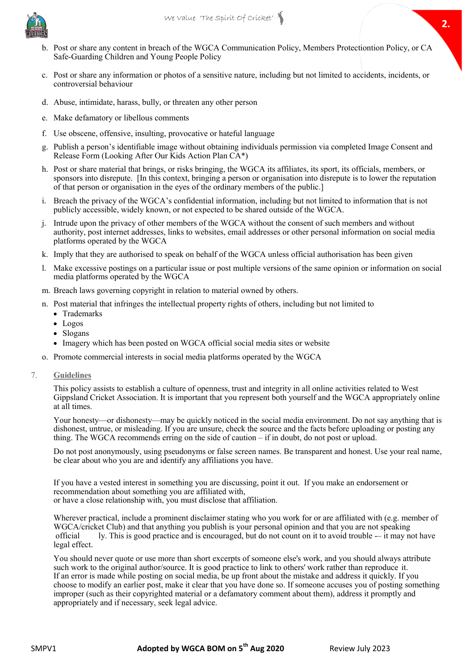

- b. Post or share any content in breach of the WGCA Communication Policy, Members Protectiontion Policy, or CA Safe-Guarding Children and Young People Policy
- c. Post or share any information or photos of a sensitive nature, including but not limited to accidents, incidents, or controversial behaviour
- d. Abuse, intimidate, harass, bully, or threaten any other person
- e. Make defamatory or libellous comments
- f. Use obscene, offensive, insulting, provocative or hateful language
- g. Publish a person's identifiable image without obtaining individuals permission via completed Image Consent and Release Form (Looking After Our Kids Action Plan CA\*)
- h. Post or share material that brings, or risks bringing, the WGCA its affiliates, its sport, its officials, members, or sponsors into disrepute. [In this context, bringing a person or organisation into disrepute is to lower the reputation of that person or organisation in the eyes of the ordinary members of the public.]
- i. Breach the privacy of the WGCA's confidential information, including but not limited to information that is not publicly accessible, widely known, or not expected to be shared outside of the WGCA.
- j. Intrude upon the privacy of other members of the WGCA without the consent of such members and without authority, post internet addresses, links to websites, email addresses or other personal information on social media platforms operated by the WGCA
- k. Imply that they are authorised to speak on behalf of the WGCA unless official authorisation has been given
- l. Make excessive postings on a particular issue or post multiple versions of the same opinion or information on social media platforms operated by the WGCA
- m. Breach laws governing copyright in relation to material owned by others.
- 2 n. Post material that infringes the intellectual property rights of others, including but not limited to
	- Trademarks
	- Logos
	- Slogans
	- Imagery which has been posted on WGCA official social media sites or website
- o. Promote commercial interests in social media platforms operated by the WGCA
- 7. **Guidelines**

This policy assists to establish a culture of openness, trust and integrity in all online activities related to West Gippsland Cricket Association. It is important that you represent both yourself and the WGCA appropriately online at all times.

Your honesty—or dishonesty—may be quickly noticed in the social media environment. Do not say anything that is dishonest, untrue, or misleading. If you are unsure, check the source and the facts before uploading or posting any thing. The WGCA recommends erring on the side of caution – if in doubt, do not post or upload.

Do not post anonymously, using pseudonyms or false screen names. Be transparent and honest. Use your real name, be clear about who you are and identify any affiliations you have.

If you have a vested interest in something you are discussing, point it out. If you make an endorsement or recommendation about something you are affiliated with, or have a close relationship with, you must disclose that affiliation.

Wherever practical, include a prominent disclaimer stating who you work for or are affiliated with (e.g. member of WGCA/cricket Club) and that anything you publish is your personal opinion and that you are not speaking official ly. This is good practice and is encouraged, but do not count on it to avoid trouble -– it may not have legal effect.

You should never quote or use more than short excerpts of someone else's work, and you should always attribute such work to the original author/source. It is good practice to link to others' work rather than reproduce it. If an error is made while posting on social media, be up front about the mistake and address it quickly. If you choose to modify an earlier post, make it clear that you have done so. If someone accuses you of posting something improper (such as their copyrighted material or a defamatory comment about them), address it promptly and appropriately and if necessary, seek legal advice.